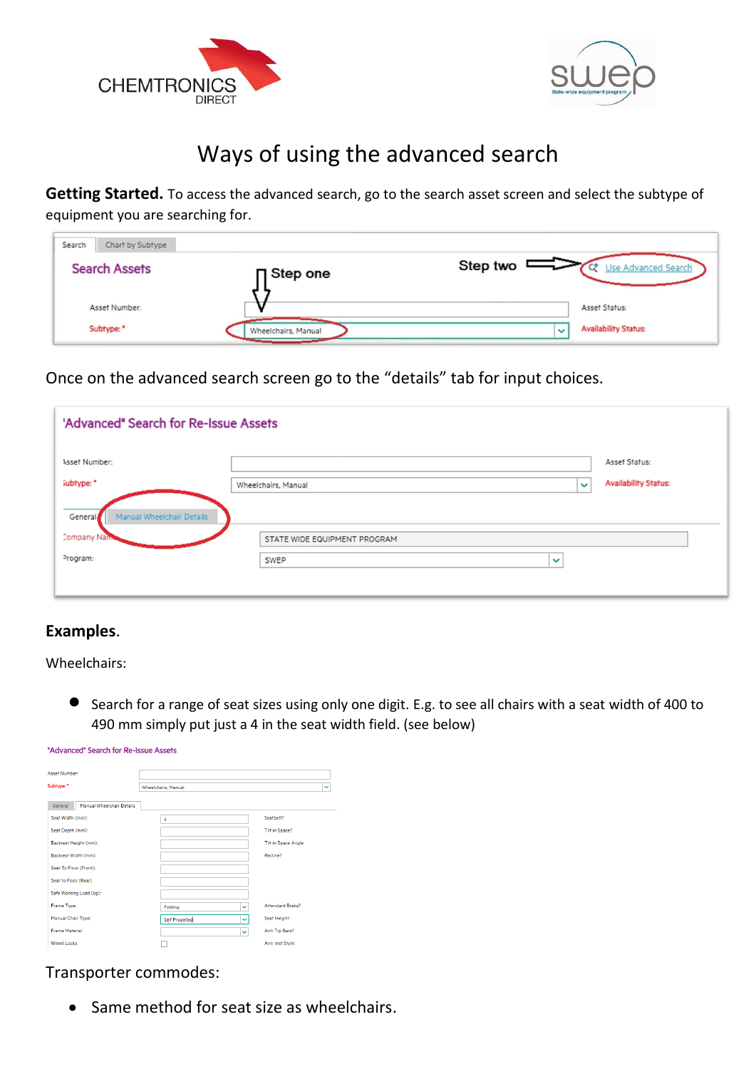



# Ways of using the advanced search

**Getting Started.** To access the advanced search, go to the search asset screen and select the subtype of equipment you are searching for.

| Search | Chart by Subtype     |                     |           |                             |
|--------|----------------------|---------------------|-----------|-----------------------------|
|        | <b>Search Assets</b> | <b>□</b> Step one   | Step two  | Use Advanced Search         |
|        | Asset Number:        |                     |           | Asset Status:               |
|        | Subtype: *           | Wheelchairs, Manual | $\ddot{}$ | <b>Availability Status:</b> |

Once on the advanced search screen go to the "details" tab for input choices.

| 'Advanced" Search for Re-Issue Assets |                              |                                             |
|---------------------------------------|------------------------------|---------------------------------------------|
| Asset Number:                         |                              | Asset Status:                               |
| subtype: *                            | Wheelchairs, Manual          | <b>Availability Status:</b><br>$\checkmark$ |
| Manual Wheelchair Details<br>General  |                              |                                             |
| <b>Company Nan</b>                    | STATE WIDE EQUIPMENT PROGRAM |                                             |
| Program:                              | SWEP<br>$\checkmark$         |                                             |
|                                       |                              |                                             |

# **Examples**.

Wheelchairs:

• Search for a range of seat sizes using only one digit. E.g. to see all chairs with a seat width of 400 to 490 mm simply put just a 4 in the seat width field. (see below)

| "Advanced" Search for Re-Issue Assets |                             |                            |
|---------------------------------------|-----------------------------|----------------------------|
| Asset Number                          |                             |                            |
| Subtype: *                            | <b>Wheelchairs</b> , Manual | $\checkmark$               |
| General<br>Manual Wheelchair Details  |                             |                            |
| Seat Width (mm):                      | 4                           | Seatbelt?                  |
| Seat Depth (mm):                      |                             | <b>Tilt in Space?</b>      |
| Backrest Height (mm):                 |                             | <b>Tilt in Space Angle</b> |
| Backrest Width (mm):                  |                             | Recline?                   |
| Seat To Floor (Front):                |                             |                            |
| Seat to Floor (Rear)                  |                             |                            |
| Safe Working Load (kg):               |                             |                            |
| <b>Frame Type</b>                     | Folding<br>$\checkmark$     | Attendant Brake?           |
| Manual Chair Type:                    | Self Propelled<br>Ĉ.        | Seat Height:               |
| <b>Frame Material</b>                 | $\checkmark$                | Anti Tip Bars?             |
| <b>Wheel Locks</b>                    |                             | Arm rest Style:            |

## Transporter commodes:

• Same method for seat size as wheelchairs.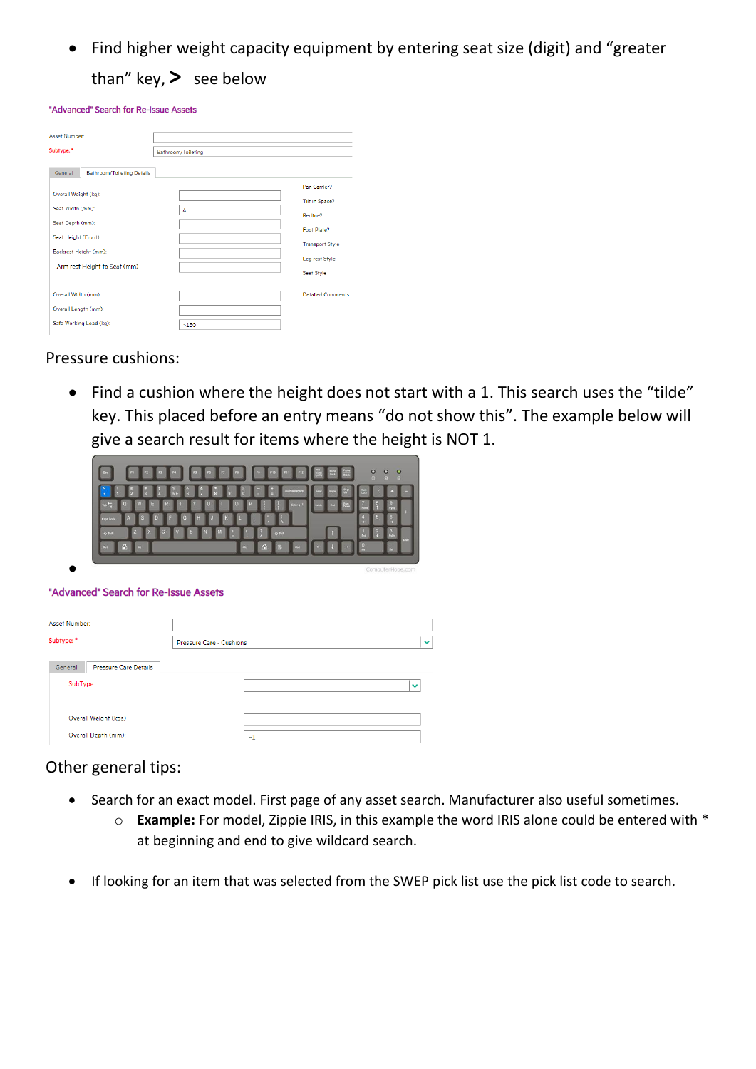• Find higher weight capacity equipment by entering seat size (digit) and "greater than" key, **>** see below

#### "Advanced" Search for Re-Issue Assets

| Asset Number                                 |                    |                          |  |  |  |
|----------------------------------------------|--------------------|--------------------------|--|--|--|
|                                              |                    |                          |  |  |  |
| Subtype: *                                   | Bathroom/Toileting |                          |  |  |  |
| General<br><b>Bathroom/Toileting Details</b> |                    |                          |  |  |  |
|                                              |                    | Pan Carrier?             |  |  |  |
| Overall Weight (kg):                         |                    | Tilt in Space?           |  |  |  |
| Seat Width (mm):                             | 4                  | Recline?                 |  |  |  |
| Seat Depth (mm):                             |                    | Foot Plate?              |  |  |  |
| Seat Height (Front):                         |                    |                          |  |  |  |
| Backrest Height (mm):                        |                    | <b>Transport Style</b>   |  |  |  |
| Arm rest Height to Seat (mm)                 |                    | Leg rest Style           |  |  |  |
|                                              |                    | Seat Style               |  |  |  |
| Overall Width (mm):                          |                    | <b>Detailed Comments</b> |  |  |  |
| Overall Length (mm):                         |                    |                          |  |  |  |
| Safe Working Load (kg):                      | >150               |                          |  |  |  |

### Pressure cushions:

• Find a cushion where the height does not start with a 1. This search uses the "tilde" key. This placed before an entry means "do not show this". The example below will give a search result for items where the height is NOT 1.

|                                                                                                                  | $\circ$<br>o<br>o                   |
|------------------------------------------------------------------------------------------------------------------|-------------------------------------|
| -Backspace<br>Hotel<br>в<br>г                                                                                    | 凹<br>g                              |
| W<br>Е<br>R<br>ö<br>Page <sub>1</sub><br>Enter and<br>D <sub>NS</sub><br>ш<br>Ġ<br>в<br>г<br>s<br>Æ<br>Caps Lock | æ<br>$\sqrt{5}$<br>6<br>ĸ<br>c<br>ю |
| M<br>C<br>$0 \sin$<br>$Q$ Shift<br>в                                                                             | <b>Text</b><br>Exter                |
| $\Delta$<br>Ä<br>At<br>Alt<br>Cut<br>Corl<br>e<br>æ                                                              | Dal                                 |

#### "Advanced" Search for Re-Issue Assets

•

| Asset Number:                    |                          |              |
|----------------------------------|--------------------------|--------------|
| Subtype: *                       | Pressure Care - Cushions | $\checkmark$ |
| Pressure Care Details<br>General |                          |              |
| SubType:                         |                          | $\checkmark$ |
| Overall Weight (kgs)             |                          |              |
| Overall Depth (mm):              | ~1                       |              |

### Other general tips:

- Search for an exact model. First page of any asset search. Manufacturer also useful sometimes.
	- o **Example:** For model, Zippie IRIS, in this example the word IRIS alone could be entered with \* at beginning and end to give wildcard search.
- If looking for an item that was selected from the SWEP pick list use the pick list code to search.